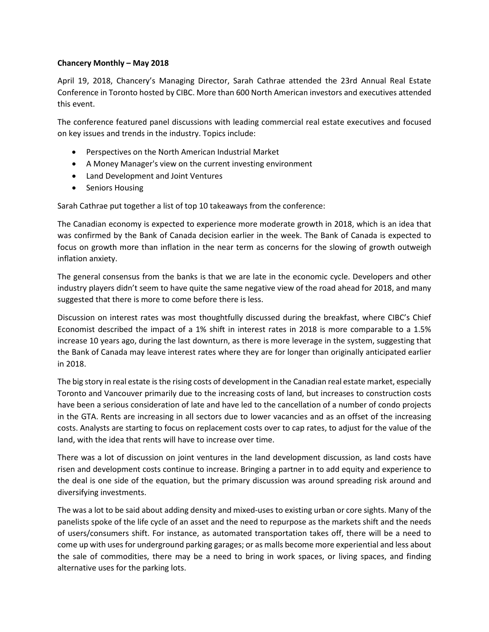## **Chancery Monthly – May 2018**

April 19, 2018, Chancery's Managing Director, Sarah Cathrae attended the 23rd Annual Real Estate Conference in Toronto hosted by CIBC. More than 600 North American investors and executives attended this event.

The conference featured panel discussions with leading commercial real estate executives and focused on key issues and trends in the industry. Topics include:

- Perspectives on the North American Industrial Market
- A Money Manager's view on the current investing environment
- Land Development and Joint Ventures
- Seniors Housing

Sarah Cathrae put together a list of top 10 takeaways from the conference:

The Canadian economy is expected to experience more moderate growth in 2018, which is an idea that was confirmed by the Bank of Canada decision earlier in the week. The Bank of Canada is expected to focus on growth more than inflation in the near term as concerns for the slowing of growth outweigh inflation anxiety.

The general consensus from the banks is that we are late in the economic cycle. Developers and other industry players didn't seem to have quite the same negative view of the road ahead for 2018, and many suggested that there is more to come before there is less.

Discussion on interest rates was most thoughtfully discussed during the breakfast, where CIBC's Chief Economist described the impact of a 1% shift in interest rates in 2018 is more comparable to a 1.5% increase 10 years ago, during the last downturn, as there is more leverage in the system, suggesting that the Bank of Canada may leave interest rates where they are for longer than originally anticipated earlier in 2018.

The big story in real estate is the rising costs of development in the Canadian real estate market, especially Toronto and Vancouver primarily due to the increasing costs of land, but increases to construction costs have been a serious consideration of late and have led to the cancellation of a number of condo projects in the GTA. Rents are increasing in all sectors due to lower vacancies and as an offset of the increasing costs. Analysts are starting to focus on replacement costs over to cap rates, to adjust for the value of the land, with the idea that rents will have to increase over time.

There was a lot of discussion on joint ventures in the land development discussion, as land costs have risen and development costs continue to increase. Bringing a partner in to add equity and experience to the deal is one side of the equation, but the primary discussion was around spreading risk around and diversifying investments.

The was a lot to be said about adding density and mixed-uses to existing urban or core sights. Many of the panelists spoke of the life cycle of an asset and the need to repurpose as the markets shift and the needs of users/consumers shift. For instance, as automated transportation takes off, there will be a need to come up with uses for underground parking garages; or as malls become more experiential and less about the sale of commodities, there may be a need to bring in work spaces, or living spaces, and finding alternative uses for the parking lots.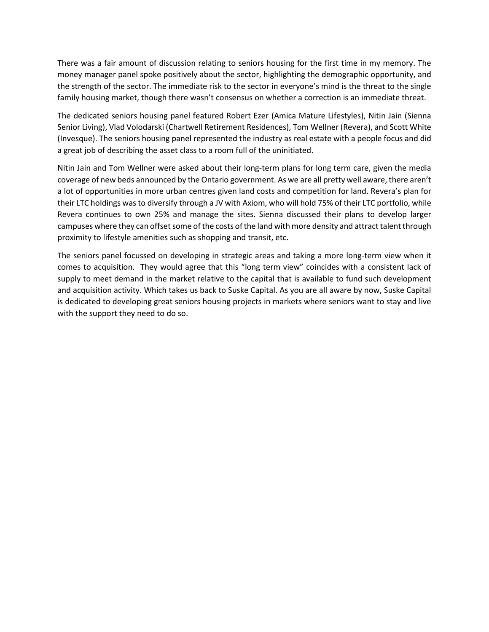There was a fair amount of discussion relating to seniors housing for the first time in my memory. The money manager panel spoke positively about the sector, highlighting the demographic opportunity, and the strength of the sector. The immediate risk to the sector in everyone's mind is the threat to the single family housing market, though there wasn't consensus on whether a correction is an immediate threat.

The dedicated seniors housing panel featured Robert Ezer (Amica Mature Lifestyles), Nitin Jain (Sienna Senior Living), Vlad Volodarski (Chartwell Retirement Residences), Tom Wellner (Revera), and Scott White (Invesque). The seniors housing panel represented the industry as real estate with a people focus and did a great job of describing the asset class to a room full of the uninitiated.

Nitin Jain and Tom Wellner were asked about their long-term plans for long term care, given the media coverage of new beds announced by the Ontario government. As we are all pretty well aware, there aren't a lot of opportunities in more urban centres given land costs and competition for land. Revera's plan for their LTC holdings was to diversify through a JV with Axiom, who will hold 75% of their LTC portfolio, while Revera continues to own 25% and manage the sites. Sienna discussed their plans to develop larger campuses where they can offset some of the costs of the land with more density and attract talent through proximity to lifestyle amenities such as shopping and transit, etc.

The seniors panel focussed on developing in strategic areas and taking a more long-term view when it comes to acquisition. They would agree that this "long term view" coincides with a consistent lack of supply to meet demand in the market relative to the capital that is available to fund such development and acquisition activity. Which takes us back to Suske Capital. As you are all aware by now, Suske Capital is dedicated to developing great seniors housing projects in markets where seniors want to stay and live with the support they need to do so.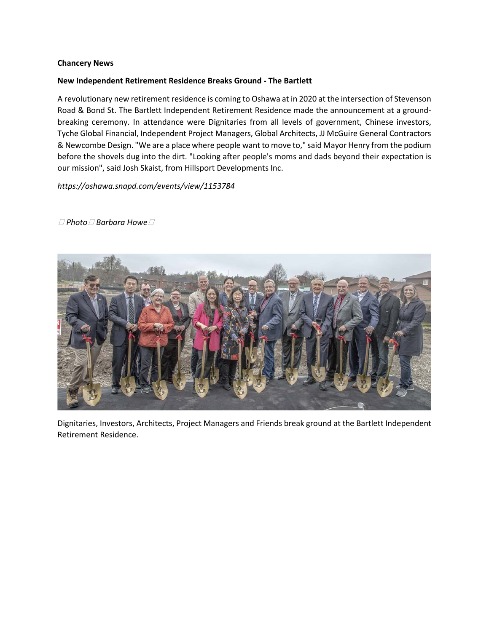## **Chancery News**

## **New Independent Retirement Residence Breaks Ground - The Bartlett**

A revolutionary new retirement residence is coming to Oshawa at in 2020 at the intersection of Stevenson Road & Bond St. The Bartlett Independent Retirement Residence made the announcement at a groundbreaking ceremony. In attendance were Dignitaries from all levels of government, Chinese investors, Tyche Global Financial, Independent Project Managers, Global Architects, JJ McGuire General Contractors & Newcombe Design. "We are a place where people want to move to," said Mayor Henry from the podium before the shovels dug into the dirt. "Looking after people's moms and dads beyond their expectation is our mission", said Josh Skaist, from Hillsport Developments Inc.

*https://oshawa.snapd.com/events/view/1153784*



( *Photo*: *Barbara Howe*)

Dignitaries, Investors, Architects, Project Managers and Friends break ground at the Bartlett Independent Retirement Residence.